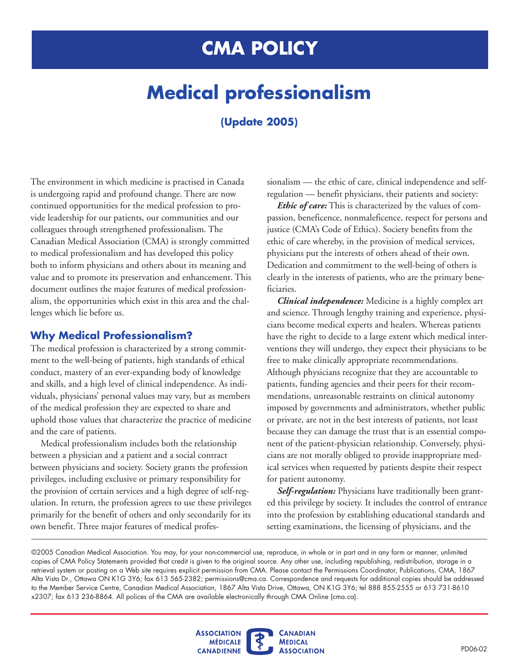## **CMA POLICY**

# **Medical professionalism**

### **(Update 2005)**

The environment in which medicine is practised in Canada is undergoing rapid and profound change. There are now continued opportunities for the medical profession to provide leadership for our patients, our communities and our colleagues through strengthened professionalism. The Canadian Medical Association (CMA) is strongly committed to medical professionalism and has developed this policy both to inform physicians and others about its meaning and value and to promote its preservation and enhancement. This document outlines the major features of medical professionalism, the opportunities which exist in this area and the challenges which lie before us.

#### **Why Medical Professionalism?**

The medical profession is characterized by a strong commitment to the well-being of patients, high standards of ethical conduct, mastery of an ever-expanding body of knowledge and skills, and a high level of clinical independence. As individuals, physicians' personal values may vary, but as members of the medical profession they are expected to share and uphold those values that characterize the practice of medicine and the care of patients.

Medical professionalism includes both the relationship between a physician and a patient and a social contract between physicians and society. Society grants the profession privileges, including exclusive or primary responsibility for the provision of certain services and a high degree of self-regulation. In return, the profession agrees to use these privileges primarily for the benefit of others and only secondarily for its own benefit. Three major features of medical professionalism — the ethic of care, clinical independence and selfregulation — benefit physicians, their patients and society:

*Ethic of care:* This is characterized by the values of compassion, beneficence, nonmaleficence, respect for persons and justice (CMA's Code of Ethics). Society benefits from the ethic of care whereby, in the provision of medical services, physicians put the interests of others ahead of their own. Dedication and commitment to the well-being of others is clearly in the interests of patients, who are the primary beneficiaries.

*Clinical independence:* Medicine is a highly complex art and science. Through lengthy training and experience, physicians become medical experts and healers. Whereas patients have the right to decide to a large extent which medical interventions they will undergo, they expect their physicians to be free to make clinically appropriate recommendations. Although physicians recognize that they are accountable to patients, funding agencies and their peers for their recommendations, unreasonable restraints on clinical autonomy imposed by governments and administrators, whether public or private, are not in the best interests of patients, not least because they can damage the trust that is an essential component of the patient-physician relationship. Conversely, physicians are not morally obliged to provide inappropriate medical services when requested by patients despite their respect for patient autonomy.

*Self-regulation:* Physicians have traditionally been granted this privilege by society. It includes the control of entrance into the profession by establishing educational standards and setting examinations, the licensing of physicians, and the

<sup>©2005</sup> Canadian Medical Association. You may, for your non-commercial use, reproduce, in whole or in part and in any form or manner, unlimited copies of CMA Policy Statements provided that credit is given to the original source. Any other use, including republishing, redistribution, storage in a retrieval system or posting on a Web site requires explicit permission from CMA. Please contact the Permissions Coordinator, Publications, CMA, 1867 Alta Vista Dr., Ottawa ON K1G 3Y6; fax 613 565-2382; permissions@cma.ca. Correspondence and requests for additional copies should be addressed to the Member Service Centre, Canadian Medical Association, 1867 Alta Vista Drive, Ottawa, ON K1G 3Y6; tel 888 855-2555 or 613 731-8610 x2307; fax 613 236-8864. All polices of the CMA are available electronically through CMA Online (cma.ca).

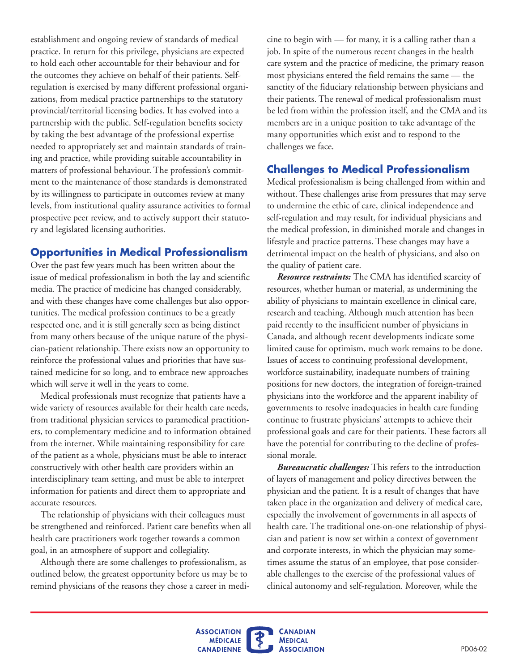establishment and ongoing review of standards of medical practice. In return for this privilege, physicians are expected to hold each other accountable for their behaviour and for the outcomes they achieve on behalf of their patients. Selfregulation is exercised by many different professional organizations, from medical practice partnerships to the statutory provincial/territorial licensing bodies. It has evolved into a partnership with the public. Self-regulation benefits society by taking the best advantage of the professional expertise needed to appropriately set and maintain standards of training and practice, while providing suitable accountability in matters of professional behaviour. The profession's commitment to the maintenance of those standards is demonstrated by its willingness to participate in outcomes review at many levels, from institutional quality assurance activities to formal prospective peer review, and to actively support their statutory and legislated licensing authorities.

#### **Opportunities in Medical Professionalism**

Over the past few years much has been written about the issue of medical professionalism in both the lay and scientific media. The practice of medicine has changed considerably, and with these changes have come challenges but also opportunities. The medical profession continues to be a greatly respected one, and it is still generally seen as being distinct from many others because of the unique nature of the physician-patient relationship. There exists now an opportunity to reinforce the professional values and priorities that have sustained medicine for so long, and to embrace new approaches which will serve it well in the years to come.

Medical professionals must recognize that patients have a wide variety of resources available for their health care needs, from traditional physician services to paramedical practitioners, to complementary medicine and to information obtained from the internet. While maintaining responsibility for care of the patient as a whole, physicians must be able to interact constructively with other health care providers within an interdisciplinary team setting, and must be able to interpret information for patients and direct them to appropriate and accurate resources.

The relationship of physicians with their colleagues must be strengthened and reinforced. Patient care benefits when all health care practitioners work together towards a common goal, in an atmosphere of support and collegiality.

Although there are some challenges to professionalism, as outlined below, the greatest opportunity before us may be to remind physicians of the reasons they chose a career in medicine to begin with — for many, it is a calling rather than a job. In spite of the numerous recent changes in the health care system and the practice of medicine, the primary reason most physicians entered the field remains the same — the sanctity of the fiduciary relationship between physicians and their patients. The renewal of medical professionalism must be led from within the profession itself, and the CMA and its members are in a unique position to take advantage of the many opportunities which exist and to respond to the challenges we face.

#### **Challenges to Medical Professionalism**

Medical professionalism is being challenged from within and without. These challenges arise from pressures that may serve to undermine the ethic of care, clinical independence and self-regulation and may result, for individual physicians and the medical profession, in diminished morale and changes in lifestyle and practice patterns. These changes may have a detrimental impact on the health of physicians, and also on the quality of patient care.

*Resource restraints:* The CMA has identified scarcity of resources, whether human or material, as undermining the ability of physicians to maintain excellence in clinical care, research and teaching. Although much attention has been paid recently to the insufficient number of physicians in Canada, and although recent developments indicate some limited cause for optimism, much work remains to be done. Issues of access to continuing professional development, workforce sustainability, inadequate numbers of training positions for new doctors, the integration of foreign-trained physicians into the workforce and the apparent inability of governments to resolve inadequacies in health care funding continue to frustrate physicians' attempts to achieve their professional goals and care for their patients. These factors all have the potential for contributing to the decline of professional morale.

*Bureaucratic challenges:* This refers to the introduction of layers of management and policy directives between the physician and the patient. It is a result of changes that have taken place in the organization and delivery of medical care, especially the involvement of governments in all aspects of health care. The traditional one-on-one relationship of physician and patient is now set within a context of government and corporate interests, in which the physician may sometimes assume the status of an employee, that pose considerable challenges to the exercise of the professional values of clinical autonomy and self-regulation. Moreover, while the

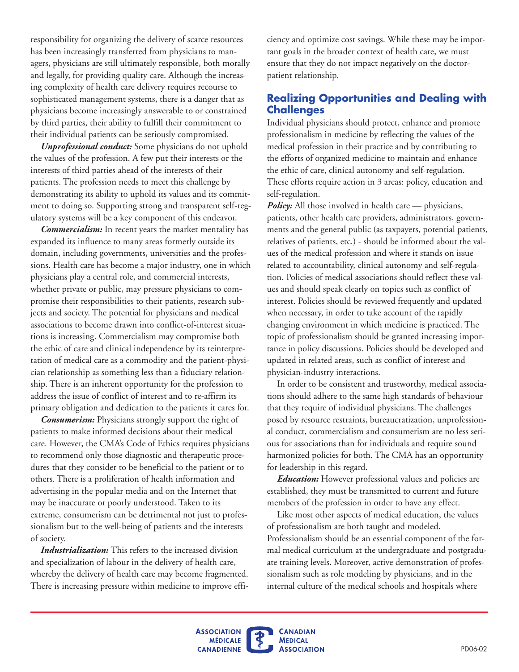responsibility for organizing the delivery of scarce resources has been increasingly transferred from physicians to managers, physicians are still ultimately responsible, both morally and legally, for providing quality care. Although the increasing complexity of health care delivery requires recourse to sophisticated management systems, there is a danger that as physicians become increasingly answerable to or constrained by third parties, their ability to fulfill their commitment to their individual patients can be seriously compromised.

*Unprofessional conduct:* Some physicians do not uphold the values of the profession. A few put their interests or the interests of third parties ahead of the interests of their patients. The profession needs to meet this challenge by demonstrating its ability to uphold its values and its commitment to doing so. Supporting strong and transparent self-regulatory systems will be a key component of this endeavor.

*Commercialism:* In recent years the market mentality has expanded its influence to many areas formerly outside its domain, including governments, universities and the professions. Health care has become a major industry, one in which physicians play a central role, and commercial interests, whether private or public, may pressure physicians to compromise their responsibilities to their patients, research subjects and society. The potential for physicians and medical associations to become drawn into conflict-of-interest situations is increasing. Commercialism may compromise both the ethic of care and clinical independence by its reinterpretation of medical care as a commodity and the patient-physician relationship as something less than a fiduciary relationship. There is an inherent opportunity for the profession to address the issue of conflict of interest and to re-affirm its primary obligation and dedication to the patients it cares for.

*Consumerism:* Physicians strongly support the right of patients to make informed decisions about their medical care. However, the CMA's Code of Ethics requires physicians to recommend only those diagnostic and therapeutic procedures that they consider to be beneficial to the patient or to others. There is a proliferation of health information and advertising in the popular media and on the Internet that may be inaccurate or poorly understood. Taken to its extreme, consumerism can be detrimental not just to professionalism but to the well-being of patients and the interests of society.

*Industrialization:* This refers to the increased division and specialization of labour in the delivery of health care, whereby the delivery of health care may become fragmented. There is increasing pressure within medicine to improve efficiency and optimize cost savings. While these may be important goals in the broader context of health care, we must ensure that they do not impact negatively on the doctorpatient relationship.

#### **Realizing Opportunities and Dealing with Challenges**

Individual physicians should protect, enhance and promote professionalism in medicine by reflecting the values of the medical profession in their practice and by contributing to the efforts of organized medicine to maintain and enhance the ethic of care, clinical autonomy and self-regulation. These efforts require action in 3 areas: policy, education and self-regulation.

*Policy:* All those involved in health care — physicians, patients, other health care providers, administrators, governments and the general public (as taxpayers, potential patients, relatives of patients, etc.) - should be informed about the values of the medical profession and where it stands on issue related to accountability, clinical autonomy and self-regulation. Policies of medical associations should reflect these values and should speak clearly on topics such as conflict of interest. Policies should be reviewed frequently and updated when necessary, in order to take account of the rapidly changing environment in which medicine is practiced. The topic of professionalism should be granted increasing importance in policy discussions. Policies should be developed and updated in related areas, such as conflict of interest and physician-industry interactions.

In order to be consistent and trustworthy, medical associations should adhere to the same high standards of behaviour that they require of individual physicians. The challenges posed by resource restraints, bureaucratization, unprofessional conduct, commercialism and consumerism are no less serious for associations than for individuals and require sound harmonized policies for both. The CMA has an opportunity for leadership in this regard.

*Education:* However professional values and policies are established, they must be transmitted to current and future members of the profession in order to have any effect.

Like most other aspects of medical education, the values of professionalism are both taught and modeled. Professionalism should be an essential component of the formal medical curriculum at the undergraduate and postgraduate training levels. Moreover, active demonstration of professionalism such as role modeling by physicians, and in the internal culture of the medical schools and hospitals where